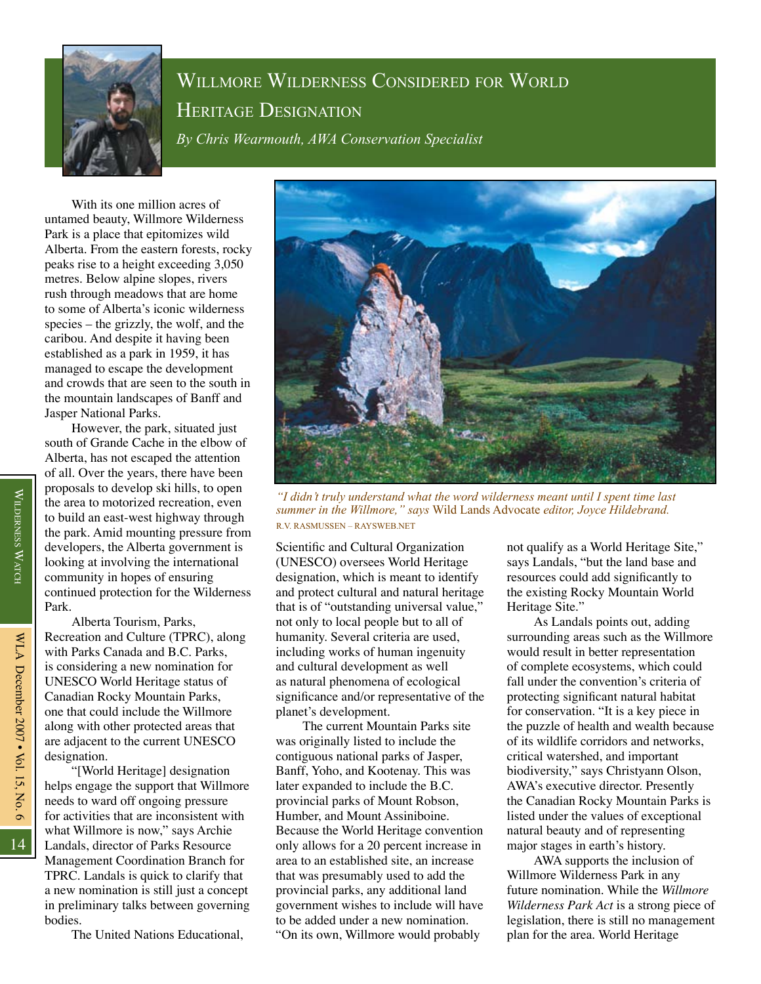

## Willmore Wilderness Considered for World Heritage Designation *By Chris Wearmouth, AWA Conservation Specialist*

With its one million acres of untamed beauty, Willmore Wilderness Park is a place that epitomizes wild Alberta. From the eastern forests, rocky peaks rise to a height exceeding 3,050 metres. Below alpine slopes, rivers rush through meadows that are home to some of Alberta's iconic wilderness species – the grizzly, the wolf, and the caribou. And despite it having been established as a park in 1959, it has managed to escape the development and crowds that are seen to the south in the mountain landscapes of Banff and Jasper National Parks.

However, the park, situated just south of Grande Cache in the elbow of Alberta, has not escaped the attention of all. Over the years, there have been proposals to develop ski hills, to open the area to motorized recreation, even to build an east-west highway through the park. Amid mounting pressure from developers, the Alberta government is looking at involving the international community in hopes of ensuring continued protection for the Wilderness Park.

Alberta Tourism, Parks, Recreation and Culture (TPRC), along with Parks Canada and B.C. Parks, is considering a new nomination for UNESCO World Heritage status of Canadian Rocky Mountain Parks, one that could include the Willmore along with other protected areas that are adjacent to the current UNESCO designation.

"[World Heritage] designation helps engage the support that Willmore needs to ward off ongoing pressure for activities that are inconsistent with what Willmore is now," says Archie Landals, director of Parks Resource Management Coordination Branch for TPRC. Landals is quick to clarify that a new nomination is still just a concept in preliminary talks between governing bodies.

The United Nations Educational,



*"I didn't truly understand what the word wilderness meant until I spent time last summer in the Willmore," says* Wild Lands Advocate *editor, Joyce Hildebrand.* R.V. Rasmussen – raysweb.net

Scientific and Cultural Organization (UNESCO) oversees World Heritage designation, which is meant to identify and protect cultural and natural heritage that is of "outstanding universal value," not only to local people but to all of humanity. Several criteria are used, including works of human ingenuity and cultural development as well as natural phenomena of ecological significance and/or representative of the planet's development.

The current Mountain Parks site was originally listed to include the contiguous national parks of Jasper, Banff, Yoho, and Kootenay. This was later expanded to include the B.C. provincial parks of Mount Robson, Humber, and Mount Assiniboine. Because the World Heritage convention only allows for a 20 percent increase in area to an established site, an increase that was presumably used to add the provincial parks, any additional land government wishes to include will have to be added under a new nomination. "On its own, Willmore would probably

not qualify as a World Heritage Site," says Landals, "but the land base and resources could add significantly to the existing Rocky Mountain World Heritage Site."

As Landals points out, adding surrounding areas such as the Willmore would result in better representation of complete ecosystems, which could fall under the convention's criteria of protecting significant natural habitat for conservation. "It is a key piece in the puzzle of health and wealth because of its wildlife corridors and networks, critical watershed, and important biodiversity," says Christyann Olson, AWA's executive director. Presently the Canadian Rocky Mountain Parks is listed under the values of exceptional natural beauty and of representing major stages in earth's history.

AWA supports the inclusion of Willmore Wilderness Park in any future nomination. While the *Willmore Wilderness Park Act* is a strong piece of legislation, there is still no management plan for the area. World Heritage

14